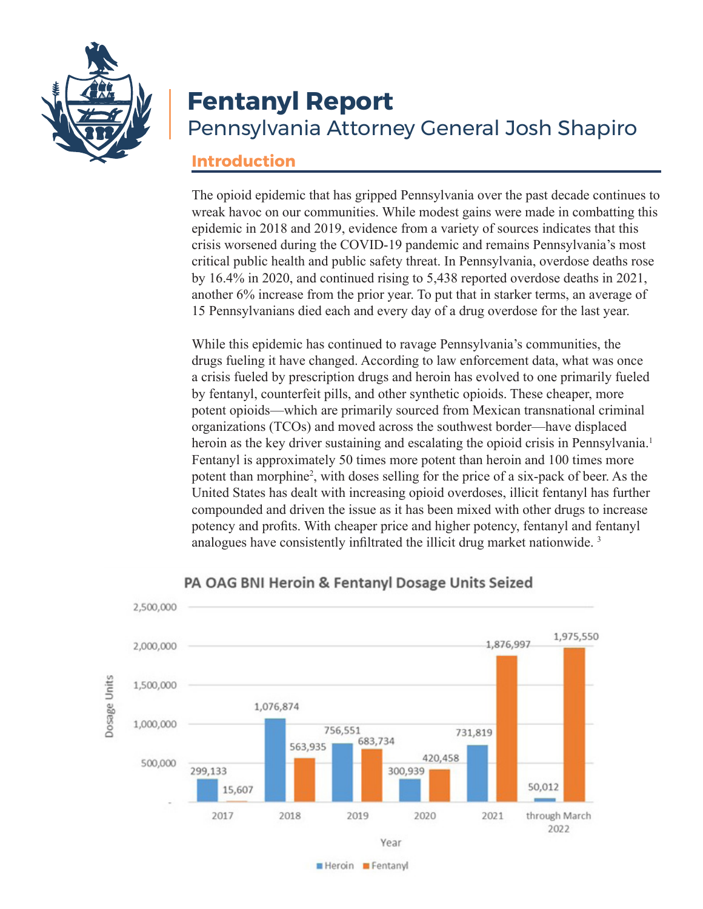

# **Fentanyl Report** Pennsylvania Attorney General Josh Shapiro

#### **Introduction**

The opioid epidemic that has gripped Pennsylvania over the past decade continues to wreak havoc on our communities. While modest gains were made in combatting this epidemic in 2018 and 2019, evidence from a variety of sources indicates that this crisis worsened during the COVID-19 pandemic and remains Pennsylvania's most critical public health and public safety threat. In Pennsylvania, overdose deaths rose by 16.4% in 2020, and continued rising to 5,438 reported overdose deaths in 2021, another 6% increase from the prior year. To put that in starker terms, an average of 15 Pennsylvanians died each and every day of a drug overdose for the last year.

While this epidemic has continued to ravage Pennsylvania's communities, the drugs fueling it have changed. According to law enforcement data, what was once a crisis fueled by prescription drugs and heroin has evolved to one primarily fueled by fentanyl, counterfeit pills, and other synthetic opioids. These cheaper, more potent opioids—which are primarily sourced from Mexican transnational criminal organizations (TCOs) and moved across the southwest border—have displaced heroin as the key driver sustaining and escalating the opioid crisis in Pennsylvania.<sup>1</sup> Fentanyl is approximately 50 times more potent than heroin and 100 times more potent than morphine<sup>2</sup>, with doses selling for the price of a six-pack of beer. As the United States has dealt with increasing opioid overdoses, illicit fentanyl has further compounded and driven the issue as it has been mixed with other drugs to increase potency and profits. With cheaper price and higher potency, fentanyl and fentanyl analogues have consistently infiltrated the illicit drug market nationwide.<sup>3</sup>



#### PA OAG BNI Heroin & Fentanyl Dosage Units Seized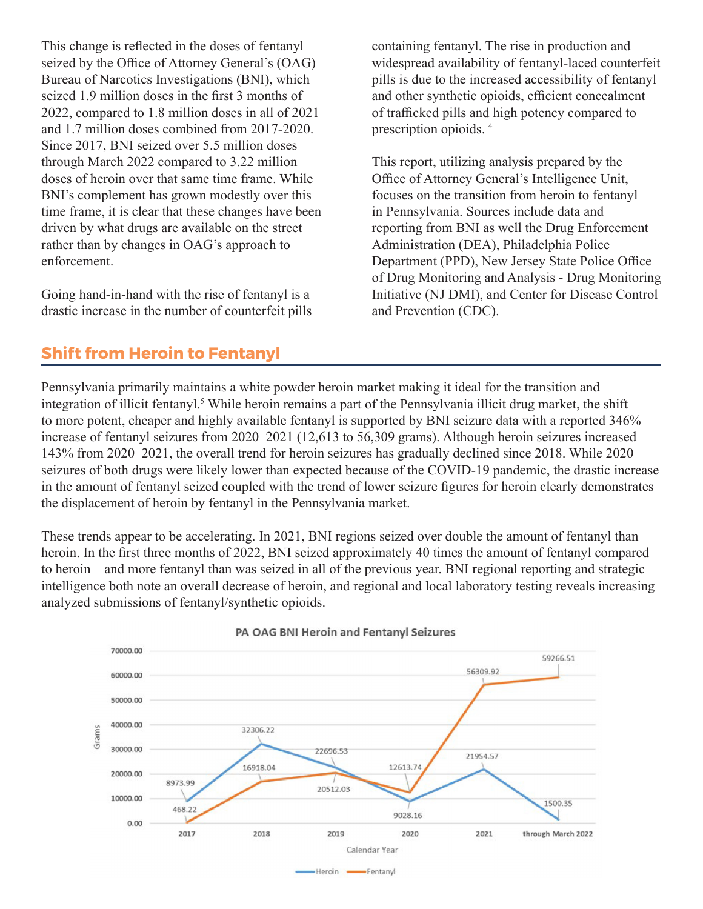This change is reflected in the doses of fentanyl seized by the Office of Attorney General's (OAG) Bureau of Narcotics Investigations (BNI), which seized 1.9 million doses in the first 3 months of 2022, compared to 1.8 million doses in all of 2021 and 1.7 million doses combined from 2017-2020. Since 2017, BNI seized over 5.5 million doses through March 2022 compared to 3.22 million doses of heroin over that same time frame. While BNI's complement has grown modestly over this time frame, it is clear that these changes have been driven by what drugs are available on the street rather than by changes in OAG's approach to enforcement.

Going hand-in-hand with the rise of fentanyl is a drastic increase in the number of counterfeit pills containing fentanyl. The rise in production and widespread availability of fentanyl-laced counterfeit pills is due to the increased accessibility of fentanyl and other synthetic opioids, efficient concealment of trafficked pills and high potency compared to prescription opioids. 4

This report, utilizing analysis prepared by the Office of Attorney General's Intelligence Unit, focuses on the transition from heroin to fentanyl in Pennsylvania. Sources include data and reporting from BNI as well the Drug Enforcement Administration (DEA), Philadelphia Police Department (PPD), New Jersey State Police Office of Drug Monitoring and Analysis - Drug Monitoring Initiative (NJ DMI), and Center for Disease Control and Prevention (CDC).

### **Shift from Heroin to Fentanyl**

Pennsylvania primarily maintains a white powder heroin market making it ideal for the transition and integration of illicit fentanyl.<sup>5</sup> While heroin remains a part of the Pennsylvania illicit drug market, the shift to more potent, cheaper and highly available fentanyl is supported by BNI seizure data with a reported 346% increase of fentanyl seizures from 2020–2021 (12,613 to 56,309 grams). Although heroin seizures increased 143% from 2020–2021, the overall trend for heroin seizures has gradually declined since 2018. While 2020 seizures of both drugs were likely lower than expected because of the COVID-19 pandemic, the drastic increase in the amount of fentanyl seized coupled with the trend of lower seizure figures for heroin clearly demonstrates the displacement of heroin by fentanyl in the Pennsylvania market.

These trends appear to be accelerating. In 2021, BNI regions seized over double the amount of fentanyl than heroin. In the first three months of 2022, BNI seized approximately 40 times the amount of fentanyl compared to heroin – and more fentanyl than was seized in all of the previous year. BNI regional reporting and strategic intelligence both note an overall decrease of heroin, and regional and local laboratory testing reveals increasing analyzed submissions of fentanyl/synthetic opioids.

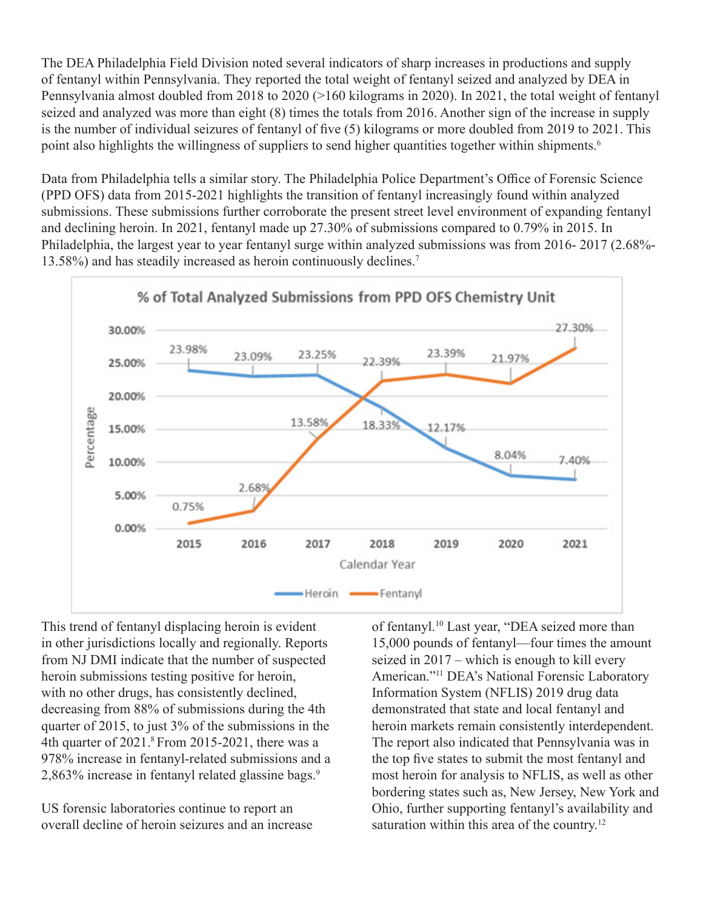The DEA Philadelphia Field Division noted several indicators of sharp increases in productions and supply of fentanyl within Pennsylvania. They reported the total weight of fentanyl seized and analyzed by DEA in Pennsylvania almost doubled from 2018 to 2020 (>160 kilograms in 2020). In 2021, the total weight of fentanyl seized and analyzed was more than eight (8) times the totals from 2016. Another sign of the increase in supply is the number of individual seizures of fentanyl of five (5) kilograms or more doubled from 2019 to 2021. This point also highlights the willingness of suppliers to send higher quantities together within shipments.<sup>6</sup>

Data from Philadelphia tells a similar story. The Philadelphia Police Department's Office of Forensic Science (PPD OFS) data from 2015-2021 highlights the transition of fentanyl increasingly found within analyzed submissions. These submissions further corroborate the present street level environment of expanding fentanyl and declining heroin. In 2021, fentanyl made up 27.30% of submissions compared to 0.79% in 2015. In Philadelphia, the largest year to year fentanyl surge within analyzed submissions was from 2016- 2017 (2.68%- 13.58%) and has steadily increased as heroin continuously declines.7



This trend of fentanyl displacing heroin is evident in other jurisdictions locally and regionally. Reports from NJ DMI indicate that the number of suspected heroin submissions testing positive for heroin, with no other drugs, has consistently declined, decreasing from 88% of submissions during the 4th quarter of 2015, to just 3% of the submissions in the 4th quarter of 2021.8 From 2015-2021, there was a 978% increase in fentanyl-related submissions and a 2,863% increase in fentanyl related glassine bags.9

US forensic laboratories continue to report an overall decline of heroin seizures and an increase of fentanyl.10 Last year, "DEA seized more than 15,000 pounds of fentanyl—four times the amount seized in 2017 – which is enough to kill every American."11 DEA's National Forensic Laboratory Information System (NFLIS) 2019 drug data demonstrated that state and local fentanyl and heroin markets remain consistently interdependent. The report also indicated that Pennsylvania was in the top five states to submit the most fentanyl and most heroin for analysis to NFLIS, as well as other bordering states such as, New Jersey, New York and Ohio, further supporting fentanyl's availability and saturation within this area of the country.<sup>12</sup>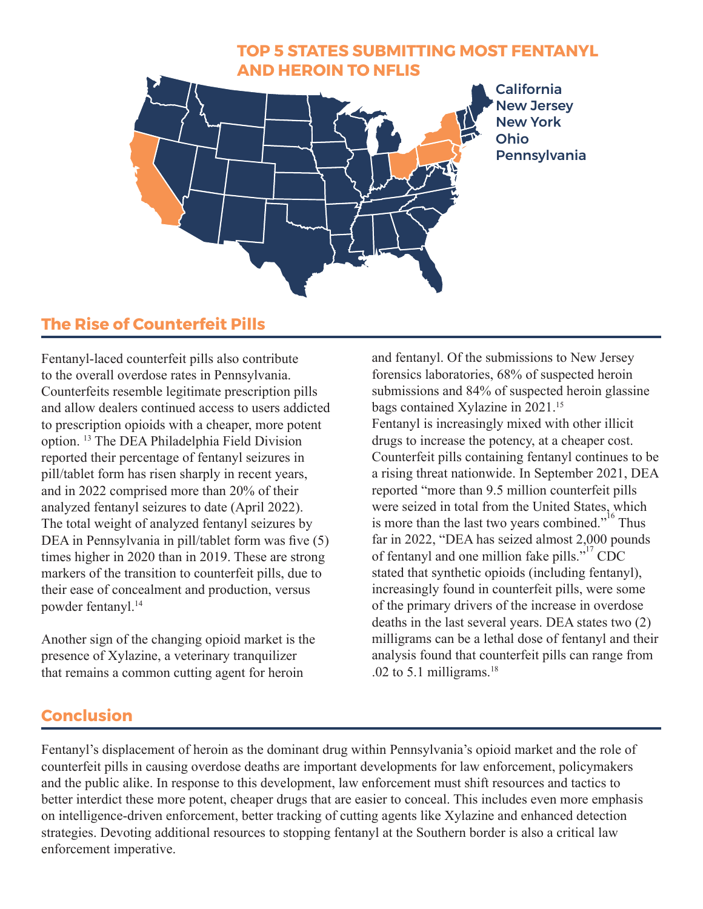

### **The Rise of Counterfeit Pills**

Fentanyl-laced counterfeit pills also contribute to the overall overdose rates in Pennsylvania. Counterfeits resemble legitimate prescription pills and allow dealers continued access to users addicted to prescription opioids with a cheaper, more potent option. 13 The DEA Philadelphia Field Division reported their percentage of fentanyl seizures in pill/tablet form has risen sharply in recent years, and in 2022 comprised more than 20% of their analyzed fentanyl seizures to date (April 2022). The total weight of analyzed fentanyl seizures by DEA in Pennsylvania in pill/tablet form was five (5) times higher in 2020 than in 2019. These are strong markers of the transition to counterfeit pills, due to their ease of concealment and production, versus powder fentanyl.14

Another sign of the changing opioid market is the presence of Xylazine, a veterinary tranquilizer that remains a common cutting agent for heroin

and fentanyl. Of the submissions to New Jersey forensics laboratories, 68% of suspected heroin submissions and 84% of suspected heroin glassine bags contained Xylazine in 2021.15 Fentanyl is increasingly mixed with other illicit drugs to increase the potency, at a cheaper cost. Counterfeit pills containing fentanyl continues to be a rising threat nationwide. In September 2021, DEA reported "more than 9.5 million counterfeit pills were seized in total from the United States, which is more than the last two years combined."<sup>16</sup> Thus far in 2022, "DEA has seized almost 2,000 pounds of fentanyl and one million fake pills."<sup>17</sup> CDC stated that synthetic opioids (including fentanyl), increasingly found in counterfeit pills, were some of the primary drivers of the increase in overdose deaths in the last several years. DEA states two (2) milligrams can be a lethal dose of fentanyl and their analysis found that counterfeit pills can range from .02 to 5.1 milligrams. $18$ 

### **Conclusion**

Fentanyl's displacement of heroin as the dominant drug within Pennsylvania's opioid market and the role of counterfeit pills in causing overdose deaths are important developments for law enforcement, policymakers and the public alike. In response to this development, law enforcement must shift resources and tactics to better interdict these more potent, cheaper drugs that are easier to conceal. This includes even more emphasis on intelligence-driven enforcement, better tracking of cutting agents like Xylazine and enhanced detection strategies. Devoting additional resources to stopping fentanyl at the Southern border is also a critical law enforcement imperative.